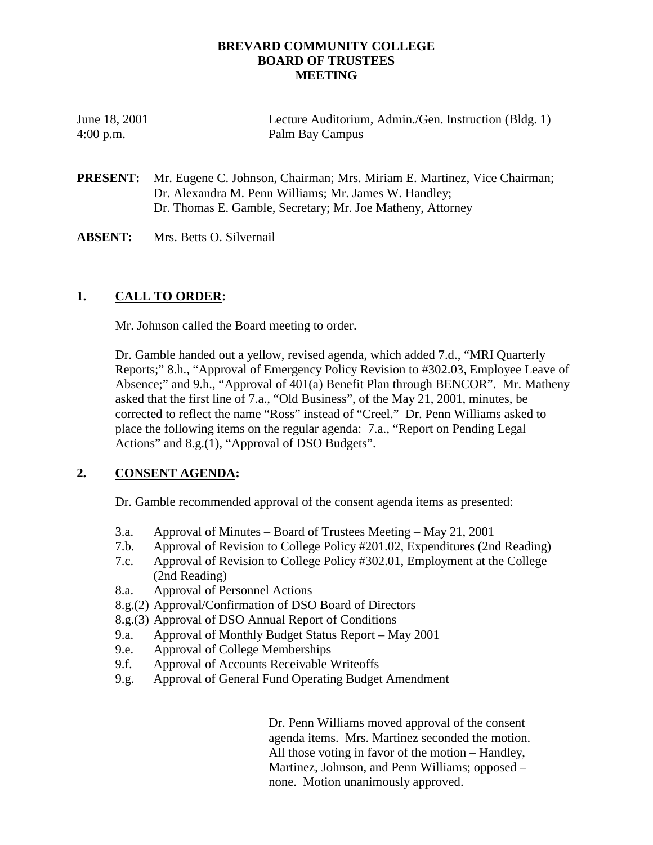### **BREVARD COMMUNITY COLLEGE BOARD OF TRUSTEES MEETING**

| June 18, 2001 | Lecture Auditorium, Admin./Gen. Instruction (Bldg. 1) |
|---------------|-------------------------------------------------------|
| $4:00$ p.m.   | Palm Bay Campus                                       |

**PRESENT:** Mr. Eugene C. Johnson, Chairman; Mrs. Miriam E. Martinez, Vice Chairman; Dr. Alexandra M. Penn Williams; Mr. James W. Handley; Dr. Thomas E. Gamble, Secretary; Mr. Joe Matheny, Attorney

**ABSENT:** Mrs. Betts O. Silvernail

## **1. CALL TO ORDER:**

Mr. Johnson called the Board meeting to order.

Dr. Gamble handed out a yellow, revised agenda, which added 7.d., "MRI Quarterly Reports;" 8.h., "Approval of Emergency Policy Revision to #302.03, Employee Leave of Absence;" and 9.h., "Approval of 401(a) Benefit Plan through BENCOR". Mr. Matheny asked that the first line of 7.a., "Old Business", of the May 21, 2001, minutes, be corrected to reflect the name "Ross" instead of "Creel." Dr. Penn Williams asked to place the following items on the regular agenda: 7.a., "Report on Pending Legal Actions" and 8.g.(1), "Approval of DSO Budgets".

# **2. CONSENT AGENDA:**

Dr. Gamble recommended approval of the consent agenda items as presented:

- 3.a. Approval of Minutes Board of Trustees Meeting May 21, 2001
- 7.b. Approval of Revision to College Policy #201.02, Expenditures (2nd Reading)
- 7.c. Approval of Revision to College Policy #302.01, Employment at the College (2nd Reading)
- 8.a. Approval of Personnel Actions
- 8.g.(2) Approval/Confirmation of DSO Board of Directors
- 8.g.(3) Approval of DSO Annual Report of Conditions
- 9.a. Approval of Monthly Budget Status Report May 2001
- 9.e. Approval of College Memberships
- 9.f. Approval of Accounts Receivable Writeoffs
- 9.g. Approval of General Fund Operating Budget Amendment

Dr. Penn Williams moved approval of the consent agenda items. Mrs. Martinez seconded the motion. All those voting in favor of the motion – Handley, Martinez, Johnson, and Penn Williams; opposed – none. Motion unanimously approved.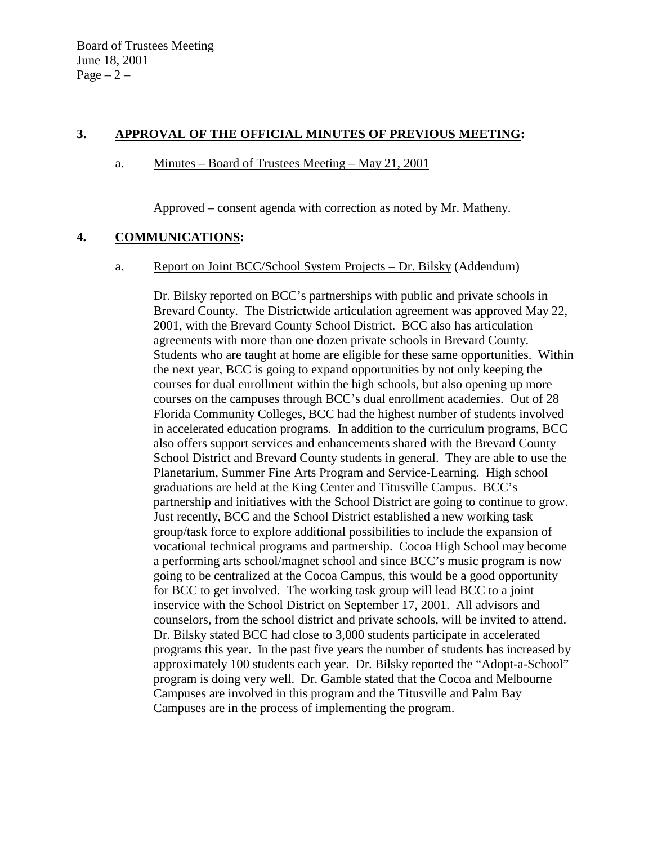## **3. APPROVAL OF THE OFFICIAL MINUTES OF PREVIOUS MEETING:**

### a. Minutes – Board of Trustees Meeting – May 21, 2001

Approved – consent agenda with correction as noted by Mr. Matheny.

# **4. COMMUNICATIONS:**

a. Report on Joint BCC/School System Projects – Dr. Bilsky (Addendum)

Dr. Bilsky reported on BCC's partnerships with public and private schools in Brevard County. The Districtwide articulation agreement was approved May 22, 2001, with the Brevard County School District. BCC also has articulation agreements with more than one dozen private schools in Brevard County. Students who are taught at home are eligible for these same opportunities. Within the next year, BCC is going to expand opportunities by not only keeping the courses for dual enrollment within the high schools, but also opening up more courses on the campuses through BCC's dual enrollment academies. Out of 28 Florida Community Colleges, BCC had the highest number of students involved in accelerated education programs. In addition to the curriculum programs, BCC also offers support services and enhancements shared with the Brevard County School District and Brevard County students in general. They are able to use the Planetarium, Summer Fine Arts Program and Service-Learning. High school graduations are held at the King Center and Titusville Campus. BCC's partnership and initiatives with the School District are going to continue to grow. Just recently, BCC and the School District established a new working task group/task force to explore additional possibilities to include the expansion of vocational technical programs and partnership. Cocoa High School may become a performing arts school/magnet school and since BCC's music program is now going to be centralized at the Cocoa Campus, this would be a good opportunity for BCC to get involved. The working task group will lead BCC to a joint inservice with the School District on September 17, 2001. All advisors and counselors, from the school district and private schools, will be invited to attend. Dr. Bilsky stated BCC had close to 3,000 students participate in accelerated programs this year. In the past five years the number of students has increased by approximately 100 students each year. Dr. Bilsky reported the "Adopt-a-School" program is doing very well. Dr. Gamble stated that the Cocoa and Melbourne Campuses are involved in this program and the Titusville and Palm Bay Campuses are in the process of implementing the program.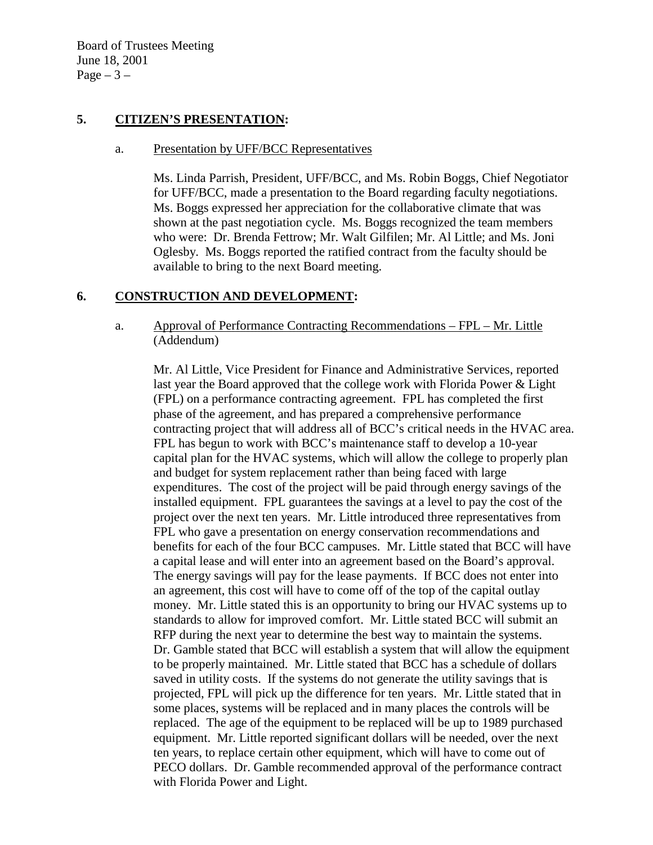Board of Trustees Meeting June 18, 2001 Page  $-3-$ 

## **5. CITIZEN'S PRESENTATION:**

#### a. Presentation by UFF/BCC Representatives

Ms. Linda Parrish, President, UFF/BCC, and Ms. Robin Boggs, Chief Negotiator for UFF/BCC, made a presentation to the Board regarding faculty negotiations. Ms. Boggs expressed her appreciation for the collaborative climate that was shown at the past negotiation cycle. Ms. Boggs recognized the team members who were: Dr. Brenda Fettrow; Mr. Walt Gilfilen; Mr. Al Little; and Ms. Joni Oglesby. Ms. Boggs reported the ratified contract from the faculty should be available to bring to the next Board meeting.

## **6. CONSTRUCTION AND DEVELOPMENT:**

### a. Approval of Performance Contracting Recommendations – FPL – Mr. Little (Addendum)

Mr. Al Little, Vice President for Finance and Administrative Services, reported last year the Board approved that the college work with Florida Power & Light (FPL) on a performance contracting agreement. FPL has completed the first phase of the agreement, and has prepared a comprehensive performance contracting project that will address all of BCC's critical needs in the HVAC area. FPL has begun to work with BCC's maintenance staff to develop a 10-year capital plan for the HVAC systems, which will allow the college to properly plan and budget for system replacement rather than being faced with large expenditures. The cost of the project will be paid through energy savings of the installed equipment. FPL guarantees the savings at a level to pay the cost of the project over the next ten years. Mr. Little introduced three representatives from FPL who gave a presentation on energy conservation recommendations and benefits for each of the four BCC campuses. Mr. Little stated that BCC will have a capital lease and will enter into an agreement based on the Board's approval. The energy savings will pay for the lease payments. If BCC does not enter into an agreement, this cost will have to come off of the top of the capital outlay money. Mr. Little stated this is an opportunity to bring our HVAC systems up to standards to allow for improved comfort. Mr. Little stated BCC will submit an RFP during the next year to determine the best way to maintain the systems. Dr. Gamble stated that BCC will establish a system that will allow the equipment to be properly maintained. Mr. Little stated that BCC has a schedule of dollars saved in utility costs. If the systems do not generate the utility savings that is projected, FPL will pick up the difference for ten years. Mr. Little stated that in some places, systems will be replaced and in many places the controls will be replaced. The age of the equipment to be replaced will be up to 1989 purchased equipment. Mr. Little reported significant dollars will be needed, over the next ten years, to replace certain other equipment, which will have to come out of PECO dollars. Dr. Gamble recommended approval of the performance contract with Florida Power and Light.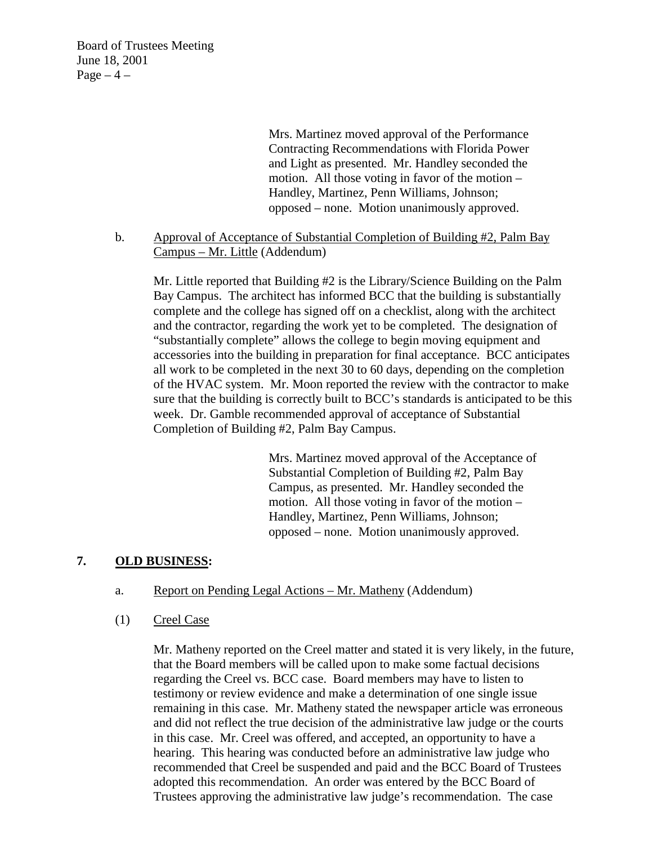Board of Trustees Meeting June 18, 2001 Page  $-4$  –

> Mrs. Martinez moved approval of the Performance Contracting Recommendations with Florida Power and Light as presented. Mr. Handley seconded the motion. All those voting in favor of the motion – Handley, Martinez, Penn Williams, Johnson; opposed – none. Motion unanimously approved.

b. Approval of Acceptance of Substantial Completion of Building #2, Palm Bay Campus – Mr. Little (Addendum)

 Mr. Little reported that Building #2 is the Library/Science Building on the Palm Bay Campus. The architect has informed BCC that the building is substantially complete and the college has signed off on a checklist, along with the architect and the contractor, regarding the work yet to be completed. The designation of "substantially complete" allows the college to begin moving equipment and accessories into the building in preparation for final acceptance. BCC anticipates all work to be completed in the next 30 to 60 days, depending on the completion of the HVAC system. Mr. Moon reported the review with the contractor to make sure that the building is correctly built to BCC's standards is anticipated to be this week. Dr. Gamble recommended approval of acceptance of Substantial Completion of Building #2, Palm Bay Campus.

> Mrs. Martinez moved approval of the Acceptance of Substantial Completion of Building #2, Palm Bay Campus, as presented. Mr. Handley seconded the motion. All those voting in favor of the motion – Handley, Martinez, Penn Williams, Johnson; opposed – none. Motion unanimously approved.

### **7. OLD BUSINESS:**

#### a. Report on Pending Legal Actions – Mr. Matheny (Addendum)

(1) Creel Case

Mr. Matheny reported on the Creel matter and stated it is very likely, in the future, that the Board members will be called upon to make some factual decisions regarding the Creel vs. BCC case. Board members may have to listen to testimony or review evidence and make a determination of one single issue remaining in this case. Mr. Matheny stated the newspaper article was erroneous and did not reflect the true decision of the administrative law judge or the courts in this case. Mr. Creel was offered, and accepted, an opportunity to have a hearing. This hearing was conducted before an administrative law judge who recommended that Creel be suspended and paid and the BCC Board of Trustees adopted this recommendation. An order was entered by the BCC Board of Trustees approving the administrative law judge's recommendation. The case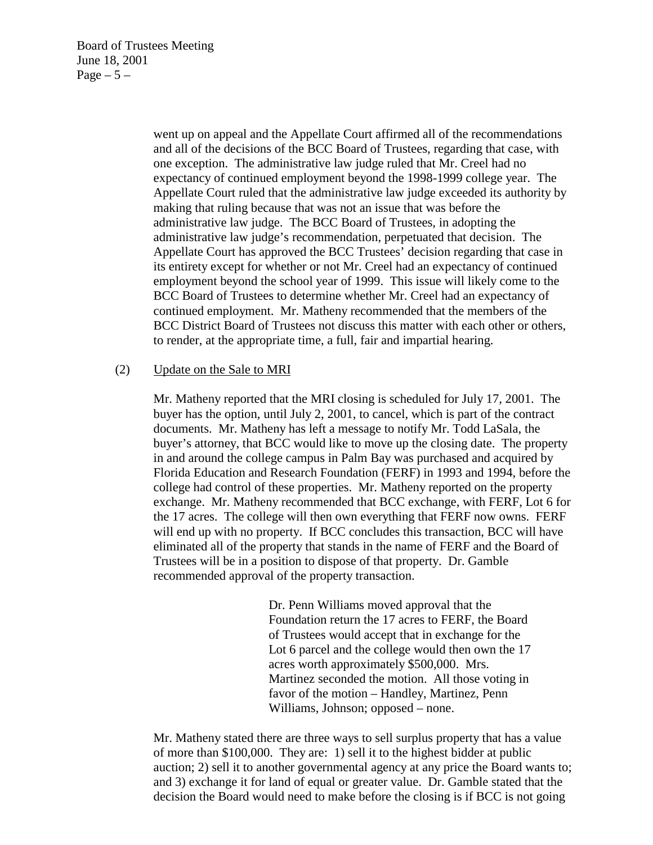Board of Trustees Meeting June 18, 2001 Page  $-5-$ 

> went up on appeal and the Appellate Court affirmed all of the recommendations and all of the decisions of the BCC Board of Trustees, regarding that case, with one exception. The administrative law judge ruled that Mr. Creel had no expectancy of continued employment beyond the 1998-1999 college year. The Appellate Court ruled that the administrative law judge exceeded its authority by making that ruling because that was not an issue that was before the administrative law judge. The BCC Board of Trustees, in adopting the administrative law judge's recommendation, perpetuated that decision. The Appellate Court has approved the BCC Trustees' decision regarding that case in its entirety except for whether or not Mr. Creel had an expectancy of continued employment beyond the school year of 1999. This issue will likely come to the BCC Board of Trustees to determine whether Mr. Creel had an expectancy of continued employment. Mr. Matheny recommended that the members of the BCC District Board of Trustees not discuss this matter with each other or others, to render, at the appropriate time, a full, fair and impartial hearing.

#### (2) Update on the Sale to MRI

Mr. Matheny reported that the MRI closing is scheduled for July 17, 2001. The buyer has the option, until July 2, 2001, to cancel, which is part of the contract documents. Mr. Matheny has left a message to notify Mr. Todd LaSala, the buyer's attorney, that BCC would like to move up the closing date. The property in and around the college campus in Palm Bay was purchased and acquired by Florida Education and Research Foundation (FERF) in 1993 and 1994, before the college had control of these properties. Mr. Matheny reported on the property exchange. Mr. Matheny recommended that BCC exchange, with FERF, Lot 6 for the 17 acres. The college will then own everything that FERF now owns. FERF will end up with no property. If BCC concludes this transaction, BCC will have eliminated all of the property that stands in the name of FERF and the Board of Trustees will be in a position to dispose of that property. Dr. Gamble recommended approval of the property transaction.

> Dr. Penn Williams moved approval that the Foundation return the 17 acres to FERF, the Board of Trustees would accept that in exchange for the Lot 6 parcel and the college would then own the 17 acres worth approximately \$500,000. Mrs. Martinez seconded the motion. All those voting in favor of the motion – Handley, Martinez, Penn Williams, Johnson; opposed – none.

Mr. Matheny stated there are three ways to sell surplus property that has a value of more than \$100,000. They are: 1) sell it to the highest bidder at public auction; 2) sell it to another governmental agency at any price the Board wants to; and 3) exchange it for land of equal or greater value. Dr. Gamble stated that the decision the Board would need to make before the closing is if BCC is not going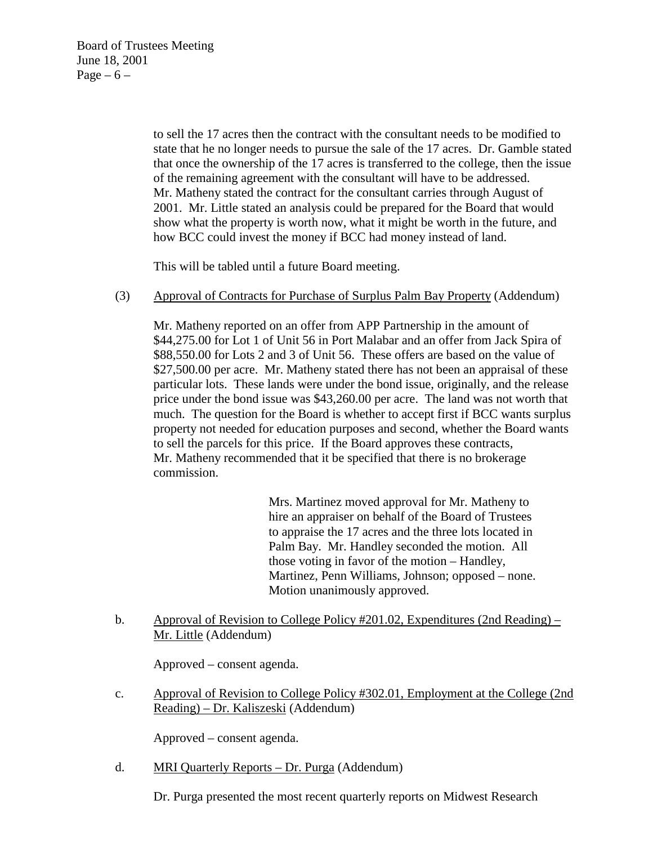to sell the 17 acres then the contract with the consultant needs to be modified to state that he no longer needs to pursue the sale of the 17 acres. Dr. Gamble stated that once the ownership of the 17 acres is transferred to the college, then the issue of the remaining agreement with the consultant will have to be addressed. Mr. Matheny stated the contract for the consultant carries through August of 2001. Mr. Little stated an analysis could be prepared for the Board that would show what the property is worth now, what it might be worth in the future, and how BCC could invest the money if BCC had money instead of land.

This will be tabled until a future Board meeting.

(3) Approval of Contracts for Purchase of Surplus Palm Bay Property (Addendum)

Mr. Matheny reported on an offer from APP Partnership in the amount of \$44,275.00 for Lot 1 of Unit 56 in Port Malabar and an offer from Jack Spira of \$88,550.00 for Lots 2 and 3 of Unit 56. These offers are based on the value of \$27,500.00 per acre. Mr. Matheny stated there has not been an appraisal of these particular lots. These lands were under the bond issue, originally, and the release price under the bond issue was \$43,260.00 per acre. The land was not worth that much. The question for the Board is whether to accept first if BCC wants surplus property not needed for education purposes and second, whether the Board wants to sell the parcels for this price. If the Board approves these contracts, Mr. Matheny recommended that it be specified that there is no brokerage commission.

> Mrs. Martinez moved approval for Mr. Matheny to hire an appraiser on behalf of the Board of Trustees to appraise the 17 acres and the three lots located in Palm Bay. Mr. Handley seconded the motion. All those voting in favor of the motion – Handley, Martinez, Penn Williams, Johnson; opposed – none. Motion unanimously approved.

b. Approval of Revision to College Policy #201.02, Expenditures (2nd Reading) – Mr. Little (Addendum)

Approved – consent agenda.

c. Approval of Revision to College Policy #302.01, Employment at the College (2nd Reading) – Dr. Kaliszeski (Addendum)

Approved – consent agenda.

d. MRI Quarterly Reports – Dr. Purga (Addendum)

Dr. Purga presented the most recent quarterly reports on Midwest Research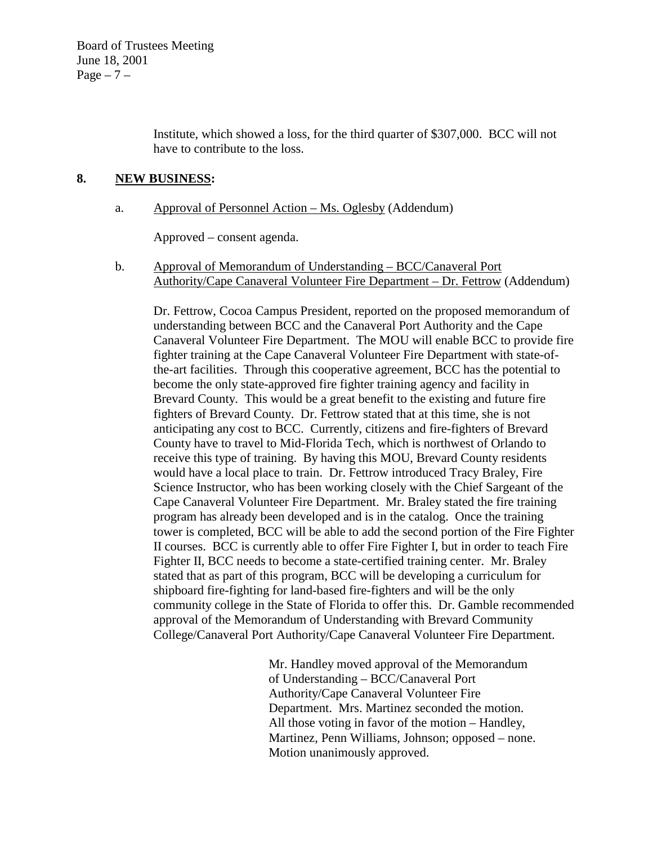Institute, which showed a loss, for the third quarter of \$307,000. BCC will not have to contribute to the loss.

### **8. NEW BUSINESS:**

## a. Approval of Personnel Action – Ms. Oglesby (Addendum)

Approved – consent agenda.

b. Approval of Memorandum of Understanding – BCC/Canaveral Port Authority/Cape Canaveral Volunteer Fire Department – Dr. Fettrow (Addendum)

 Dr. Fettrow, Cocoa Campus President, reported on the proposed memorandum of understanding between BCC and the Canaveral Port Authority and the Cape Canaveral Volunteer Fire Department. The MOU will enable BCC to provide fire fighter training at the Cape Canaveral Volunteer Fire Department with state-ofthe-art facilities. Through this cooperative agreement, BCC has the potential to become the only state-approved fire fighter training agency and facility in Brevard County. This would be a great benefit to the existing and future fire fighters of Brevard County. Dr. Fettrow stated that at this time, she is not anticipating any cost to BCC. Currently, citizens and fire-fighters of Brevard County have to travel to Mid-Florida Tech, which is northwest of Orlando to receive this type of training. By having this MOU, Brevard County residents would have a local place to train. Dr. Fettrow introduced Tracy Braley, Fire Science Instructor, who has been working closely with the Chief Sargeant of the Cape Canaveral Volunteer Fire Department. Mr. Braley stated the fire training program has already been developed and is in the catalog. Once the training tower is completed, BCC will be able to add the second portion of the Fire Fighter II courses. BCC is currently able to offer Fire Fighter I, but in order to teach Fire Fighter II, BCC needs to become a state-certified training center. Mr. Braley stated that as part of this program, BCC will be developing a curriculum for shipboard fire-fighting for land-based fire-fighters and will be the only community college in the State of Florida to offer this. Dr. Gamble recommended approval of the Memorandum of Understanding with Brevard Community College/Canaveral Port Authority/Cape Canaveral Volunteer Fire Department.

> Mr. Handley moved approval of the Memorandum of Understanding – BCC/Canaveral Port Authority/Cape Canaveral Volunteer Fire Department. Mrs. Martinez seconded the motion. All those voting in favor of the motion – Handley, Martinez, Penn Williams, Johnson; opposed – none. Motion unanimously approved.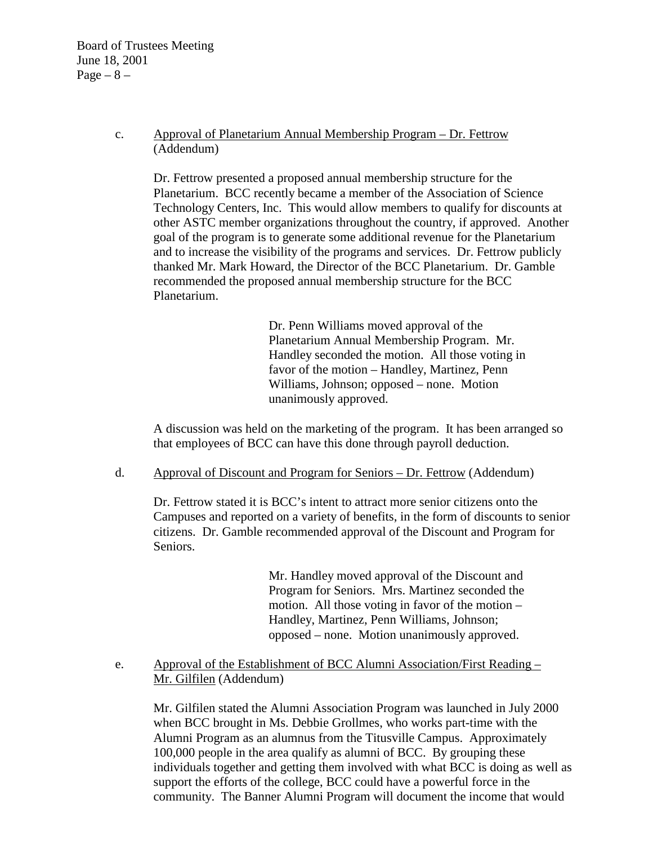Board of Trustees Meeting June 18, 2001 Page  $-8$  –

> c. Approval of Planetarium Annual Membership Program – Dr. Fettrow (Addendum)

 Dr. Fettrow presented a proposed annual membership structure for the Planetarium. BCC recently became a member of the Association of Science Technology Centers, Inc. This would allow members to qualify for discounts at other ASTC member organizations throughout the country, if approved. Another goal of the program is to generate some additional revenue for the Planetarium and to increase the visibility of the programs and services. Dr. Fettrow publicly thanked Mr. Mark Howard, the Director of the BCC Planetarium. Dr. Gamble recommended the proposed annual membership structure for the BCC Planetarium.

> Dr. Penn Williams moved approval of the Planetarium Annual Membership Program. Mr. Handley seconded the motion. All those voting in favor of the motion – Handley, Martinez, Penn Williams, Johnson; opposed – none. Motion unanimously approved.

 A discussion was held on the marketing of the program. It has been arranged so that employees of BCC can have this done through payroll deduction.

d. Approval of Discount and Program for Seniors – Dr. Fettrow (Addendum)

Dr. Fettrow stated it is BCC's intent to attract more senior citizens onto the Campuses and reported on a variety of benefits, in the form of discounts to senior citizens. Dr. Gamble recommended approval of the Discount and Program for Seniors.

> Mr. Handley moved approval of the Discount and Program for Seniors. Mrs. Martinez seconded the motion. All those voting in favor of the motion – Handley, Martinez, Penn Williams, Johnson; opposed – none. Motion unanimously approved.

e. Approval of the Establishment of BCC Alumni Association/First Reading – Mr. Gilfilen (Addendum)

 Mr. Gilfilen stated the Alumni Association Program was launched in July 2000 when BCC brought in Ms. Debbie Grollmes, who works part-time with the Alumni Program as an alumnus from the Titusville Campus. Approximately 100,000 people in the area qualify as alumni of BCC. By grouping these individuals together and getting them involved with what BCC is doing as well as support the efforts of the college, BCC could have a powerful force in the community. The Banner Alumni Program will document the income that would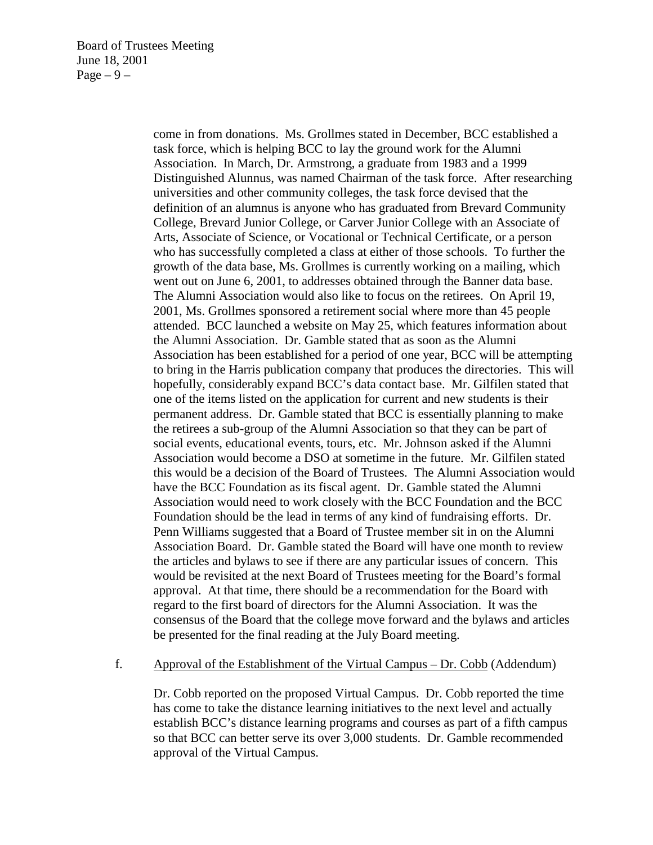come in from donations. Ms. Grollmes stated in December, BCC established a task force, which is helping BCC to lay the ground work for the Alumni Association. In March, Dr. Armstrong, a graduate from 1983 and a 1999 Distinguished Alunnus, was named Chairman of the task force. After researching universities and other community colleges, the task force devised that the definition of an alumnus is anyone who has graduated from Brevard Community College, Brevard Junior College, or Carver Junior College with an Associate of Arts, Associate of Science, or Vocational or Technical Certificate, or a person who has successfully completed a class at either of those schools. To further the growth of the data base, Ms. Grollmes is currently working on a mailing, which went out on June 6, 2001, to addresses obtained through the Banner data base. The Alumni Association would also like to focus on the retirees. On April 19, 2001, Ms. Grollmes sponsored a retirement social where more than 45 people attended. BCC launched a website on May 25, which features information about the Alumni Association. Dr. Gamble stated that as soon as the Alumni Association has been established for a period of one year, BCC will be attempting to bring in the Harris publication company that produces the directories. This will hopefully, considerably expand BCC's data contact base. Mr. Gilfilen stated that one of the items listed on the application for current and new students is their permanent address. Dr. Gamble stated that BCC is essentially planning to make the retirees a sub-group of the Alumni Association so that they can be part of social events, educational events, tours, etc. Mr. Johnson asked if the Alumni Association would become a DSO at sometime in the future. Mr. Gilfilen stated this would be a decision of the Board of Trustees. The Alumni Association would have the BCC Foundation as its fiscal agent. Dr. Gamble stated the Alumni Association would need to work closely with the BCC Foundation and the BCC Foundation should be the lead in terms of any kind of fundraising efforts. Dr. Penn Williams suggested that a Board of Trustee member sit in on the Alumni Association Board. Dr. Gamble stated the Board will have one month to review the articles and bylaws to see if there are any particular issues of concern. This would be revisited at the next Board of Trustees meeting for the Board's formal approval. At that time, there should be a recommendation for the Board with regard to the first board of directors for the Alumni Association. It was the consensus of the Board that the college move forward and the bylaws and articles be presented for the final reading at the July Board meeting.

#### f. Approval of the Establishment of the Virtual Campus – Dr. Cobb (Addendum)

Dr. Cobb reported on the proposed Virtual Campus. Dr. Cobb reported the time has come to take the distance learning initiatives to the next level and actually establish BCC's distance learning programs and courses as part of a fifth campus so that BCC can better serve its over 3,000 students. Dr. Gamble recommended approval of the Virtual Campus.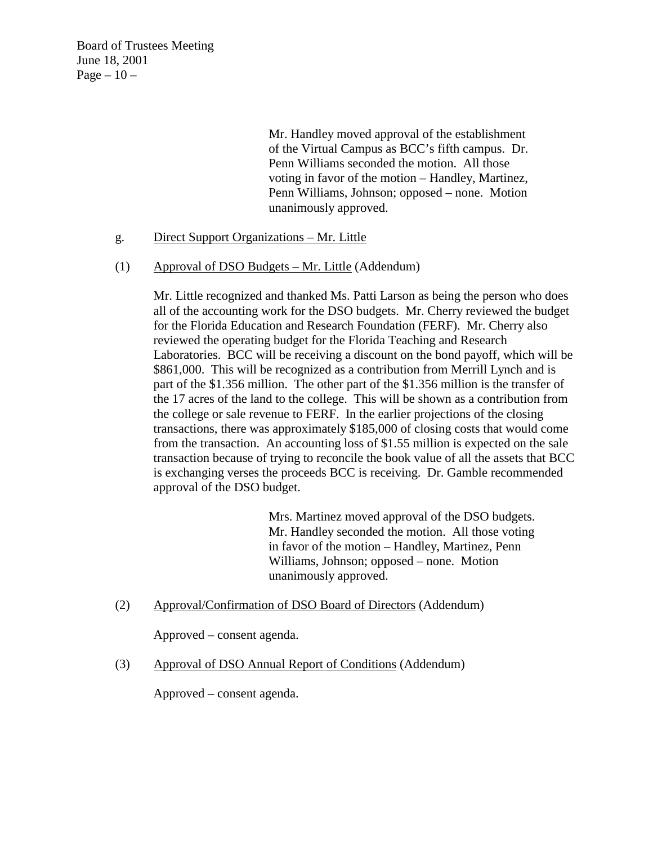Board of Trustees Meeting June 18, 2001 Page  $-10-$ 

> Mr. Handley moved approval of the establishment of the Virtual Campus as BCC's fifth campus. Dr. Penn Williams seconded the motion. All those voting in favor of the motion – Handley, Martinez, Penn Williams, Johnson; opposed – none. Motion unanimously approved.

- g. Direct Support Organizations Mr. Little
- (1) Approval of DSO Budgets Mr. Little (Addendum)

Mr. Little recognized and thanked Ms. Patti Larson as being the person who does all of the accounting work for the DSO budgets. Mr. Cherry reviewed the budget for the Florida Education and Research Foundation (FERF). Mr. Cherry also reviewed the operating budget for the Florida Teaching and Research Laboratories. BCC will be receiving a discount on the bond payoff, which will be \$861,000. This will be recognized as a contribution from Merrill Lynch and is part of the \$1.356 million. The other part of the \$1.356 million is the transfer of the 17 acres of the land to the college. This will be shown as a contribution from the college or sale revenue to FERF. In the earlier projections of the closing transactions, there was approximately \$185,000 of closing costs that would come from the transaction. An accounting loss of \$1.55 million is expected on the sale transaction because of trying to reconcile the book value of all the assets that BCC is exchanging verses the proceeds BCC is receiving. Dr. Gamble recommended approval of the DSO budget.

> Mrs. Martinez moved approval of the DSO budgets. Mr. Handley seconded the motion. All those voting in favor of the motion – Handley, Martinez, Penn Williams, Johnson; opposed – none. Motion unanimously approved.

(2) Approval/Confirmation of DSO Board of Directors (Addendum)

Approved – consent agenda.

(3) Approval of DSO Annual Report of Conditions (Addendum)

Approved – consent agenda.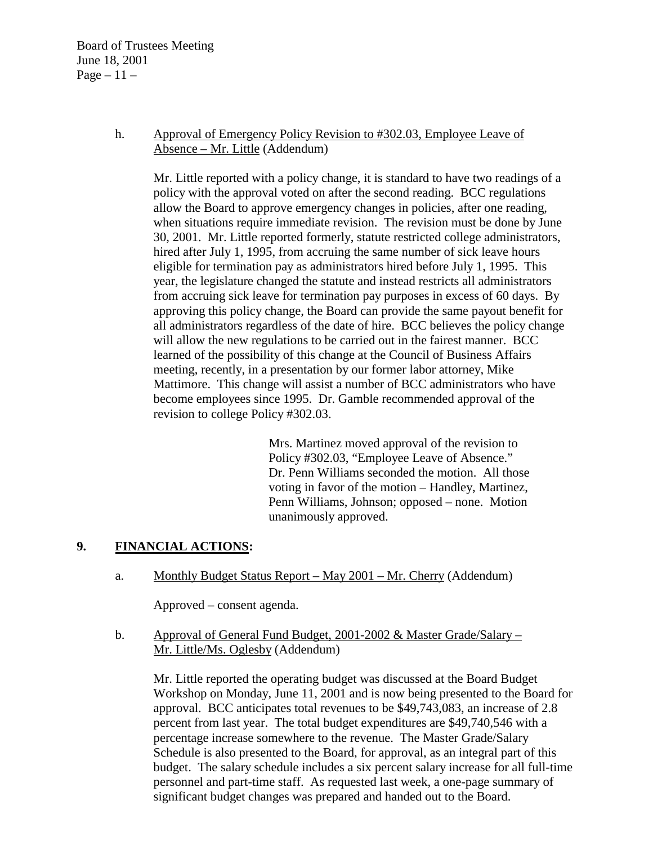Board of Trustees Meeting June 18, 2001 Page  $-11-$ 

### h. Approval of Emergency Policy Revision to #302.03, Employee Leave of Absence – Mr. Little (Addendum)

Mr. Little reported with a policy change, it is standard to have two readings of a policy with the approval voted on after the second reading. BCC regulations allow the Board to approve emergency changes in policies, after one reading, when situations require immediate revision. The revision must be done by June 30, 2001. Mr. Little reported formerly, statute restricted college administrators, hired after July 1, 1995, from accruing the same number of sick leave hours eligible for termination pay as administrators hired before July 1, 1995. This year, the legislature changed the statute and instead restricts all administrators from accruing sick leave for termination pay purposes in excess of 60 days. By approving this policy change, the Board can provide the same payout benefit for all administrators regardless of the date of hire. BCC believes the policy change will allow the new regulations to be carried out in the fairest manner. BCC learned of the possibility of this change at the Council of Business Affairs meeting, recently, in a presentation by our former labor attorney, Mike Mattimore. This change will assist a number of BCC administrators who have become employees since 1995. Dr. Gamble recommended approval of the revision to college Policy #302.03.

> Mrs. Martinez moved approval of the revision to Policy #302.03, "Employee Leave of Absence." Dr. Penn Williams seconded the motion. All those voting in favor of the motion – Handley, Martinez, Penn Williams, Johnson; opposed – none. Motion unanimously approved.

# **9. FINANCIAL ACTIONS:**

a. Monthly Budget Status Report – May 2001 – Mr. Cherry (Addendum)

Approved – consent agenda.

b. Approval of General Fund Budget, 2001-2002 & Master Grade/Salary – Mr. Little/Ms. Oglesby (Addendum)

Mr. Little reported the operating budget was discussed at the Board Budget Workshop on Monday, June 11, 2001 and is now being presented to the Board for approval. BCC anticipates total revenues to be \$49,743,083, an increase of 2.8 percent from last year. The total budget expenditures are \$49,740,546 with a percentage increase somewhere to the revenue. The Master Grade/Salary Schedule is also presented to the Board, for approval, as an integral part of this budget. The salary schedule includes a six percent salary increase for all full-time personnel and part-time staff. As requested last week, a one-page summary of significant budget changes was prepared and handed out to the Board.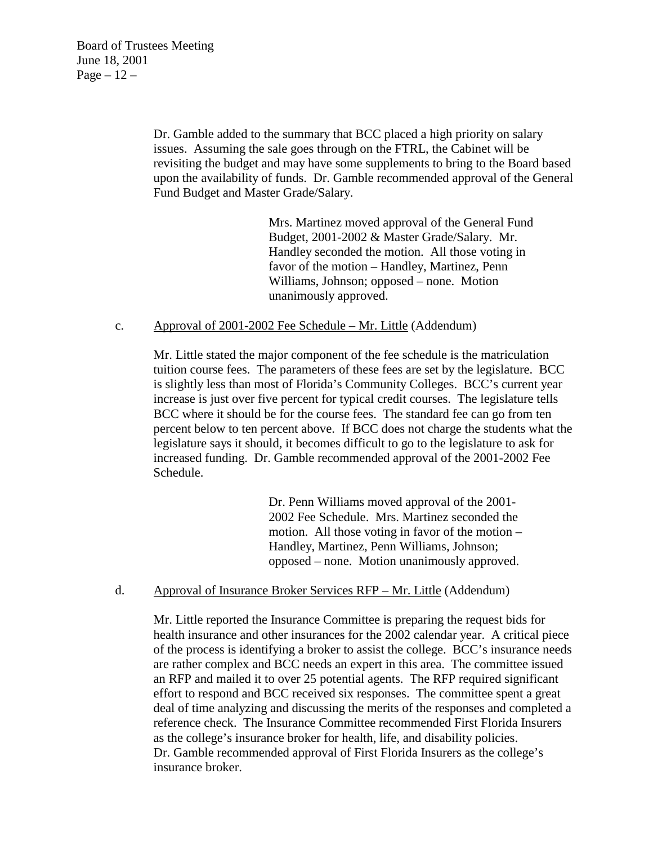Dr. Gamble added to the summary that BCC placed a high priority on salary issues. Assuming the sale goes through on the FTRL, the Cabinet will be revisiting the budget and may have some supplements to bring to the Board based upon the availability of funds. Dr. Gamble recommended approval of the General Fund Budget and Master Grade/Salary.

> Mrs. Martinez moved approval of the General Fund Budget, 2001-2002 & Master Grade/Salary. Mr. Handley seconded the motion. All those voting in favor of the motion – Handley, Martinez, Penn Williams, Johnson; opposed – none. Motion unanimously approved.

### c. Approval of 2001-2002 Fee Schedule – Mr. Little (Addendum)

Mr. Little stated the major component of the fee schedule is the matriculation tuition course fees. The parameters of these fees are set by the legislature. BCC is slightly less than most of Florida's Community Colleges. BCC's current year increase is just over five percent for typical credit courses. The legislature tells BCC where it should be for the course fees. The standard fee can go from ten percent below to ten percent above. If BCC does not charge the students what the legislature says it should, it becomes difficult to go to the legislature to ask for increased funding. Dr. Gamble recommended approval of the 2001-2002 Fee Schedule.

> Dr. Penn Williams moved approval of the 2001- 2002 Fee Schedule. Mrs. Martinez seconded the motion. All those voting in favor of the motion – Handley, Martinez, Penn Williams, Johnson; opposed – none. Motion unanimously approved.

### d. Approval of Insurance Broker Services RFP – Mr. Little (Addendum)

Mr. Little reported the Insurance Committee is preparing the request bids for health insurance and other insurances for the 2002 calendar year. A critical piece of the process is identifying a broker to assist the college. BCC's insurance needs are rather complex and BCC needs an expert in this area. The committee issued an RFP and mailed it to over 25 potential agents. The RFP required significant effort to respond and BCC received six responses. The committee spent a great deal of time analyzing and discussing the merits of the responses and completed a reference check. The Insurance Committee recommended First Florida Insurers as the college's insurance broker for health, life, and disability policies. Dr. Gamble recommended approval of First Florida Insurers as the college's insurance broker.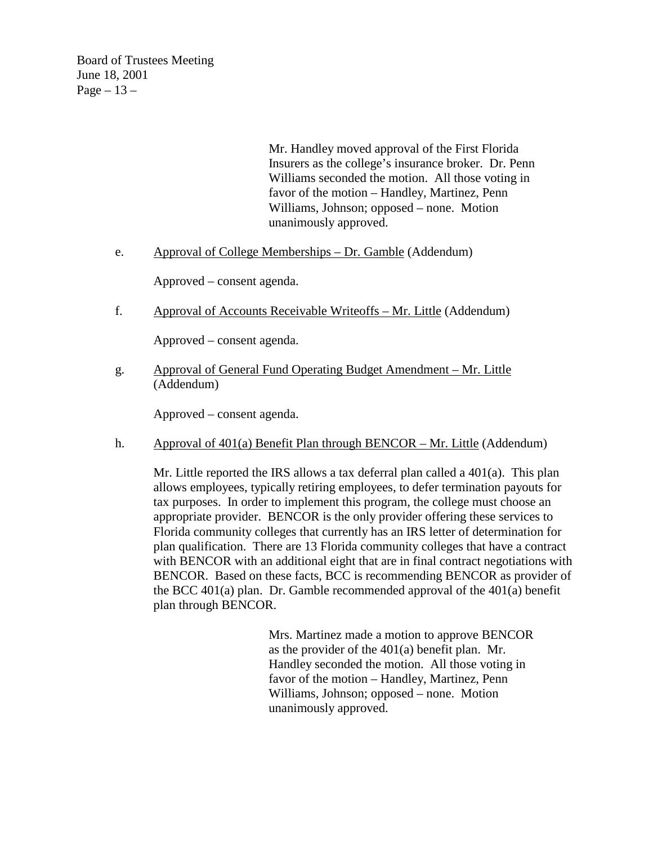Board of Trustees Meeting June 18, 2001  $Page-13$  –

> Mr. Handley moved approval of the First Florida Insurers as the college's insurance broker. Dr. Penn Williams seconded the motion. All those voting in favor of the motion – Handley, Martinez, Penn Williams, Johnson; opposed – none. Motion unanimously approved.

e. Approval of College Memberships – Dr. Gamble (Addendum)

Approved – consent agenda.

f. Approval of Accounts Receivable Writeoffs – Mr. Little (Addendum)

Approved – consent agenda.

g. Approval of General Fund Operating Budget Amendment – Mr. Little (Addendum)

Approved – consent agenda.

h. Approval of  $401(a)$  Benefit Plan through BENCOR – Mr. Little (Addendum)

Mr. Little reported the IRS allows a tax deferral plan called a  $401(a)$ . This plan allows employees, typically retiring employees, to defer termination payouts for tax purposes. In order to implement this program, the college must choose an appropriate provider. BENCOR is the only provider offering these services to Florida community colleges that currently has an IRS letter of determination for plan qualification. There are 13 Florida community colleges that have a contract with BENCOR with an additional eight that are in final contract negotiations with BENCOR. Based on these facts, BCC is recommending BENCOR as provider of the BCC 401(a) plan. Dr. Gamble recommended approval of the 401(a) benefit plan through BENCOR.

> Mrs. Martinez made a motion to approve BENCOR as the provider of the 401(a) benefit plan. Mr. Handley seconded the motion. All those voting in favor of the motion – Handley, Martinez, Penn Williams, Johnson; opposed – none. Motion unanimously approved.